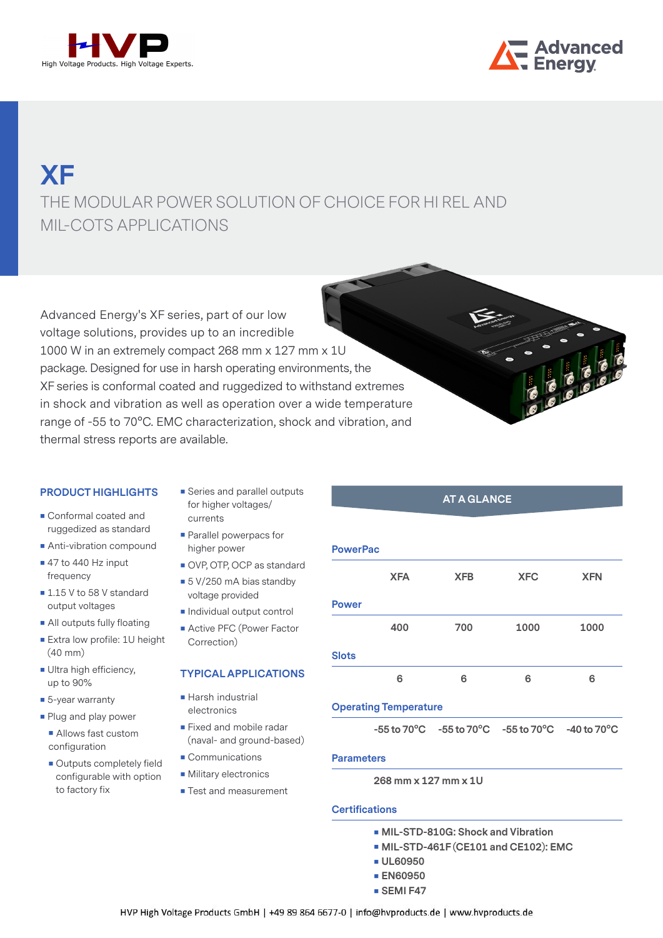



# MIL-COTS APPLICATIONS **XF**  THE MODULAR POWER SOLUTION OF CHOICE FOR HI REL AND

Advanced Energy's XF series, part of our low voltage solutions, provides up to an incredible 1000 W in an extremely compact 268 mm x 127 mm x 1U package. Designed for use in harsh operating environments, the XF series is conformal coated and ruggedized to withstand extremes in shock and vibration as well as operation over a wide temperature range of -55 to 70°C. EMC characterization, shock and vibration, and thermal stress reports are available.

#### **PRODUCT HIGHLIGHTS**

- Conformal coated and ruggedized as standard
- **Anti-vibration compound**
- $\blacksquare$  47 to 440 Hz input frequency
- 1.15 V to 58 V standard output voltages
- **All outputs fully floating**
- **Extra low profile: 1U height** (40 mm)
- Ultra high efficiency, up to 90%
- 5-year warranty
- **Plug and play power** 
	- Allows fast custom configuration
	- Outputs completely field configurable with option to factory fix
- Series and parallel outputs for higher voltages/ currents
- **Parallel powerpacs for** higher power
- OVP, OTP, OCP as standard
- 5 V/250 mA bias standby voltage provided
- **Individual output control**
- **Active PFC (Power Factor** Correction)

#### **TYPICAL APPLICATIONS**

- **Harsh industrial** electronics
- **Fixed and mobile radar** (naval- and ground-based)
- Communications
- **Military electronics**
- Test and measurement

### **AT A GLANCE**

| <b>PowerPac</b> |                              |            |            |            |
|-----------------|------------------------------|------------|------------|------------|
|                 | <b>XFA</b>                   | <b>XFB</b> | <b>XFC</b> | <b>XFN</b> |
| <b>Power</b>    |                              |            |            |            |
|                 | 400                          | 700        | 1000       | 1000       |
| <b>Slots</b>    |                              |            |            |            |
|                 | 6                            | 6          | 6          | 6          |
|                 | <b>Operating Temperature</b> |            |            |            |

**-55 to 70°C -55 to 70°C -55 to 70°C -40 to 70°C**

#### **Parameters**

**268 mm x 127 mm x 1U**

#### **Certifications**

- **MIL-STD-810G: Shock and Vibration**
- **MIL-STD-461F (CE101 and CE102): EMC**
- **UL60950**
- **EN60950**
- **SEMI F47**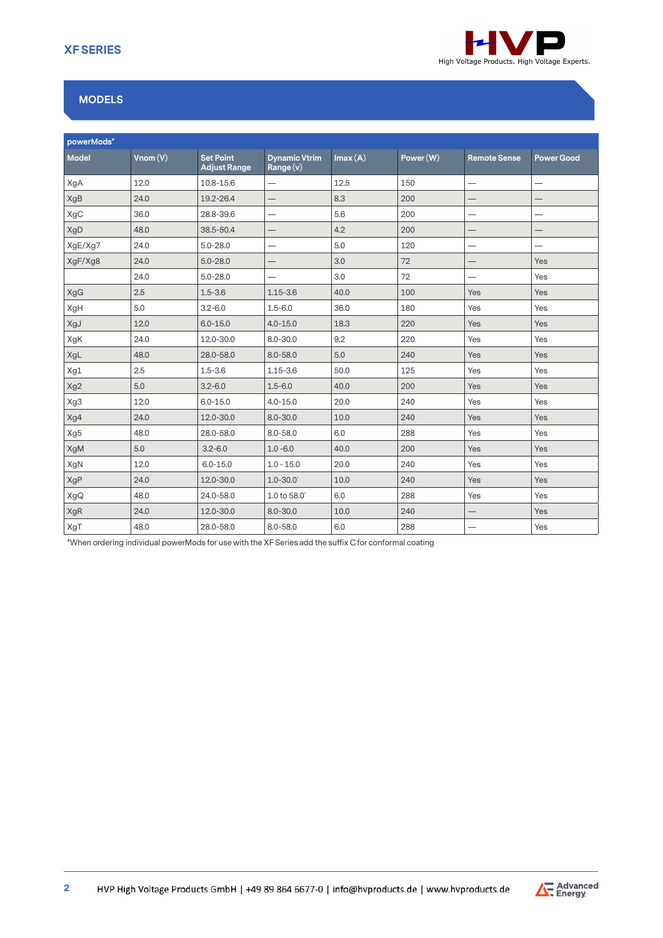

## **MODELS**

| powerMods*   |         |                                         |                                                        |         |           |                     |                          |
|--------------|---------|-----------------------------------------|--------------------------------------------------------|---------|-----------|---------------------|--------------------------|
| <b>Model</b> | Vnom(V) | <b>Set Point</b><br><b>Adjust Range</b> | <b>Dynamic Vtrim</b><br>$\overline{\mathsf{Range}(v)}$ | Imax(A) | Power (W) | <b>Remote Sense</b> | <b>Power Good</b>        |
| XgA          | 12.0    | 10.8-15.6                               | —                                                      | 12.5    | 150       |                     | —                        |
| XgB          | 24.0    | 19.2-26.4                               |                                                        | 8.3     | 200       |                     |                          |
| XgC          | 36.0    | 28.8-39.6                               | —                                                      | 5.6     | 200       |                     | $\overline{\phantom{0}}$ |
| XgD          | 48.0    | 38.5-50.4                               | $\qquad \qquad -$                                      | 4.2     | 200       | $\qquad \qquad -$   | $\overline{\phantom{0}}$ |
| XgE/Xg7      | 24.0    | $5.0 - 28.0$                            |                                                        | 5.0     | 120       | —                   | —                        |
| XgF/Xg8      | 24.0    | $5.0 - 28.0$                            |                                                        | 3.0     | 72        |                     | Yes                      |
|              | 24.0    | $5.0 - 28.0$                            | —                                                      | 3.0     | 72        | —                   | Yes                      |
| XgG          | 2.5     | $1.5 - 3.6$                             | $1.15 - 3.6$                                           | 40.0    | 100       | Yes                 | Yes                      |
| XgH          | 5.0     | $3.2 - 6.0$                             | $1.5 - 6.0$                                            | 36.0    | 180       | Yes                 | Yes                      |
| XgJ          | 12.0    | $6.0 - 15.0$                            | $4.0 - 15.0$                                           | 18.3    | 220       | Yes                 | Yes                      |
| XgK          | 24.0    | 12.0-30.0                               | $8.0 - 30.0$                                           | 9.2     | 220       | Yes                 | Yes                      |
| XgL          | 48.0    | 28.0-58.0                               | $8.0 - 58.0$                                           | 5.0     | 240       | Yes                 | Yes                      |
| Xg1          | 2.5     | $1.5 - 3.6$                             | $1.15 - 3.6$                                           | 50.0    | 125       | Yes                 | Yes                      |
| Xg2          | 5.0     | $3.2 - 6.0$                             | $1.5 - 6.0$                                            | 40.0    | 200       | Yes                 | Yes                      |
| Xg3          | 12.0    | $6.0 - 15.0$                            | $4.0 - 15.0$                                           | 20.0    | 240       | Yes                 | Yes                      |
| Xg4          | 24.0    | 12.0-30.0                               | $8.0 - 30.0$                                           | 10.0    | 240       | Yes                 | Yes                      |
| Xg5          | 48.0    | 28.0-58.0                               | $8.0 - 58.0$                                           | 6.0     | 288       | Yes                 | Yes                      |
| XgM          | 5.0     | $3.2 - 6.0$                             | $1.0 - 6.0$                                            | 40.0    | 200       | Yes                 | Yes                      |
| XgN          | 12.0    | $6.0 - 15.0$                            | $1.0 - 15.0$                                           | 20.0    | 240       | Yes                 | Yes                      |
| XgP          | 24.0    | 12.0-30.0                               | $1.0 - 30.0$                                           | 10.0    | 240       | Yes                 | Yes                      |
| XgQ          | 48.0    | 24.0-58.0                               | 1.0 to $58.0^{\circ}$                                  | 6.0     | 288       | Yes                 | Yes                      |
| XgR          | 24.0    | 12.0-30.0                               | $8.0 - 30.0$                                           | 10.0    | 240       |                     | Yes                      |
| XgT          | 48.0    | 28.0-58.0                               | $8.0 - 58.0$                                           | 6.0     | 288       | —                   | Yes                      |

\*When ordering individual powerMods for use with the XF Series add the suffix C for conformal coating

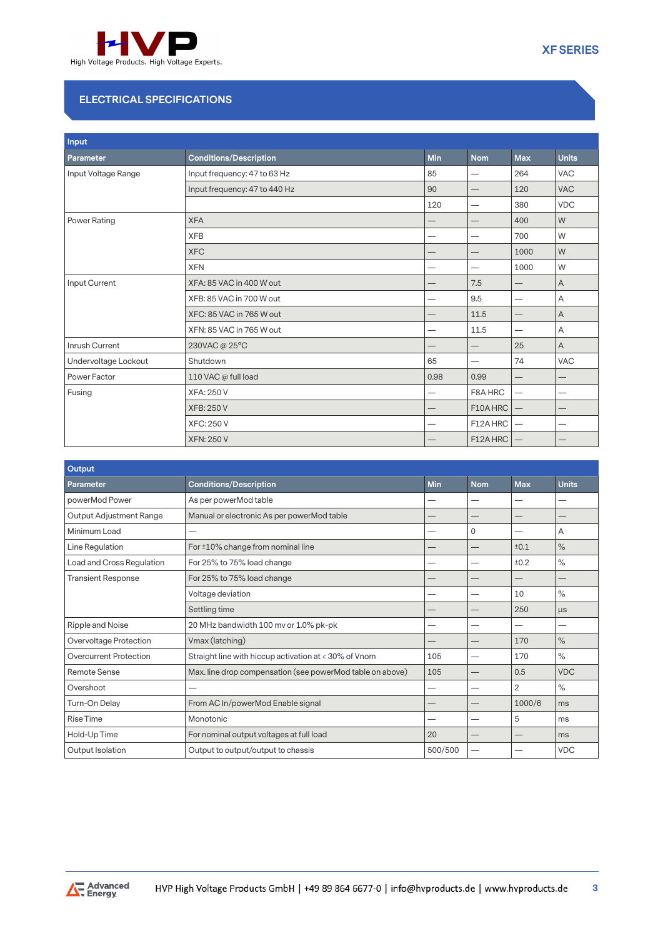

## **ELECTRICAL SPECIFICATIONS**

| Input                |                               |      |                          |                                 |                |
|----------------------|-------------------------------|------|--------------------------|---------------------------------|----------------|
| Parameter            | <b>Conditions/Description</b> | Min  | <b>Nom</b>               | <b>Max</b>                      | <b>Units</b>   |
| Input Voltage Range  | Input frequency: 47 to 63 Hz  | 85   | —                        | 264                             | <b>VAC</b>     |
|                      | Input frequency: 47 to 440 Hz | 90   | —                        | 120                             | <b>VAC</b>     |
|                      |                               | 120  | -                        | 380                             | <b>VDC</b>     |
| Power Rating         | <b>XFA</b>                    |      | —                        | 400                             | W              |
|                      | <b>XFB</b>                    |      |                          | 700                             | W              |
|                      | <b>XFC</b>                    |      |                          | 1000                            | W              |
|                      | <b>XFN</b>                    |      | $\overline{\phantom{0}}$ | 1000                            | W              |
| Input Current        | XFA: 85 VAC in 400 W out      |      | 7.5                      | —                               | A              |
|                      | XFB: 85 VAC in 700 W out      | —    | 9.5                      | —                               | Α              |
|                      | XFC: 85 VAC in 765 W out      |      | 11.5                     |                                 | Α              |
|                      | XFN: 85 VAC in 765 W out      |      | 11.5                     | —                               | Α              |
| Inrush Current       | 230VAC@25°C                   |      |                          | 25                              | $\overline{A}$ |
| Undervoltage Lockout | Shutdown                      | 65   |                          | 74                              | <b>VAC</b>     |
| Power Factor         | 110 VAC @ full load           | 0.98 | 0.99                     | —                               | —              |
| Fusing               | <b>XFA: 250 V</b>             |      | F8A HRC                  | $\overline{\phantom{0}}$        |                |
|                      | <b>XFB: 250 V</b>             |      | F10A HRC                 | $\hspace{0.1mm}-\hspace{0.1mm}$ |                |
|                      | <b>XFC: 250 V</b>             |      | F12A HRC                 |                                 |                |
|                      | <b>XFN: 250 V</b>             |      | F12A HRC                 |                                 |                |

| <b>Output</b>                 |                                                           |            |            |                |              |
|-------------------------------|-----------------------------------------------------------|------------|------------|----------------|--------------|
| Parameter                     | <b>Conditions/Description</b>                             | <b>Min</b> | <b>Nom</b> | <b>Max</b>     | <b>Units</b> |
| powerMod Power                | As per powerMod table                                     |            |            |                |              |
| Output Adjustment Range       | Manual or electronic As per powerMod table                |            |            |                |              |
| Minimum Load                  |                                                           |            | 0          | –              | A            |
| Line Regulation               | For ±10% change from nominal line                         |            |            | ±0.1           | $\%$         |
| Load and Cross Regulation     | For 25% to 75% load change                                |            |            | ±0.2           | $\%$         |
| <b>Transient Response</b>     | For 25% to 75% load change                                |            |            |                |              |
|                               | Voltage deviation                                         |            |            | 10             | $\%$         |
|                               | Settling time                                             |            |            | 250            | $\mu s$      |
| Ripple and Noise              | 20 MHz bandwidth 100 mv or 1.0% pk-pk                     |            |            |                |              |
| Overvoltage Protection        | Vmax (latching)                                           |            |            | 170            | $\%$         |
| <b>Overcurrent Protection</b> | Straight line with hiccup activation at < 30% of Vnom     | 105        |            | 170            | $\%$         |
| Remote Sense                  | Max. line drop compensation (see powerMod table on above) | 105        |            | 0.5            | <b>VDC</b>   |
| Overshoot                     |                                                           |            |            | $\overline{2}$ | $\%$         |
| Turn-On Delay                 | From AC In/powerMod Enable signal                         |            |            | 1000/6         | ms           |
| <b>Rise Time</b>              | Monotonic                                                 |            |            | 5              | ms           |
| Hold-Up Time                  | For nominal output voltages at full load                  | 20         |            |                | ms           |
| Output Isolation              | Output to output/output to chassis                        | 500/500    |            |                | <b>VDC</b>   |

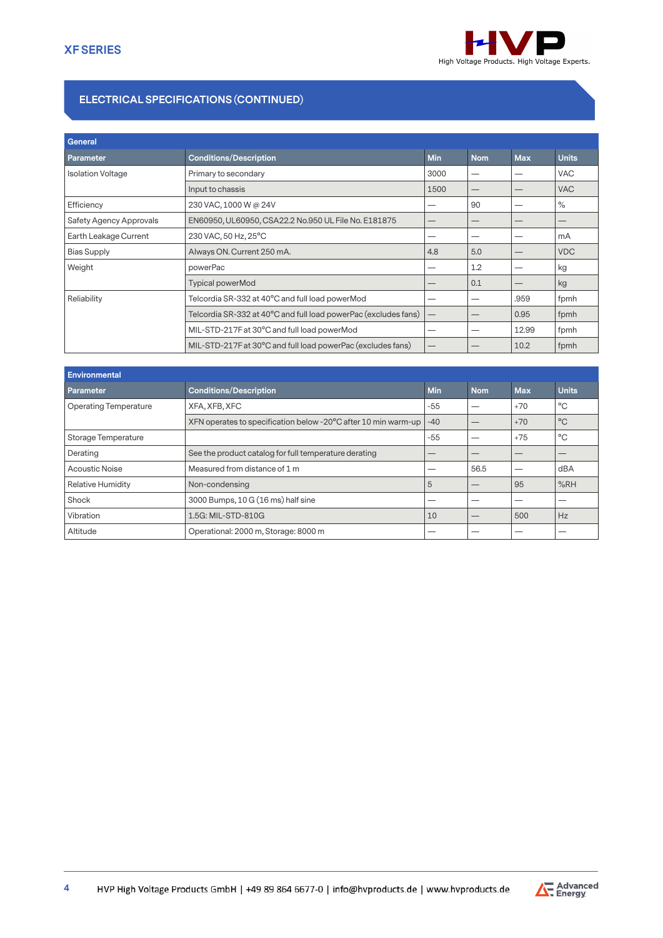

## **ELECTRICAL SPECIFICATIONS (CONTINUED)**

| General                  |                                                                 |                                 |            |            |              |
|--------------------------|-----------------------------------------------------------------|---------------------------------|------------|------------|--------------|
| Parameter                | <b>Conditions/Description</b>                                   | <b>Min</b>                      | <b>Nom</b> | <b>Max</b> | <b>Units</b> |
| <b>Isolation Voltage</b> | Primary to secondary                                            | 3000                            | --         |            | <b>VAC</b>   |
|                          | Input to chassis                                                | 1500                            | –          |            | <b>VAC</b>   |
| Efficiency               | 230 VAC, 1000 W @ 24V                                           | —                               | 90         |            | $\%$         |
| Safety Agency Approvals  | EN60950, UL60950, CSA22.2 No.950 UL File No. E181875            |                                 | –          |            |              |
| Earth Leakage Current    | 230 VAC, 50 Hz, 25°C                                            |                                 | –          |            | mA           |
| <b>Bias Supply</b>       | Always ON. Current 250 mA.                                      | 4.8                             | 5.0        |            | <b>VDC</b>   |
| Weight                   | powerPac                                                        |                                 | 1.2        |            | kg           |
|                          | <b>Typical powerMod</b>                                         |                                 | 0.1        |            | kg           |
| Reliability              | Telcordia SR-332 at 40°C and full load powerMod                 |                                 | –          | .959       | fpmh         |
|                          | Telcordia SR-332 at 40°C and full load powerPac (excludes fans) | $\hspace{0.1mm}-\hspace{0.1mm}$ | –          | 0.95       | fpmh         |
|                          | MIL-STD-217F at 30°C and full load powerMod                     | –                               | -          | 12.99      | fpmh         |
|                          | MIL-STD-217F at 30°C and full load powerPac (excludes fans)     |                                 |            | 10.2       | fpmh         |

| Environmental                |                                                                |            |            |            |              |
|------------------------------|----------------------------------------------------------------|------------|------------|------------|--------------|
| <b>Parameter</b>             | <b>Conditions/Description</b>                                  | <b>Min</b> | <b>Nom</b> | <b>Max</b> | <b>Units</b> |
| <b>Operating Temperature</b> | XFA, XFB, XFC                                                  | -55        |            | $+70$      | °C           |
|                              | XFN operates to specification below -20°C after 10 min warm-up | $-40$      |            | $+70$      | $^{\circ}$ C |
| Storage Temperature          |                                                                | $-55$      |            | $+75$      | $^{\circ}$ C |
| Derating                     | See the product catalog for full temperature derating          | —          | __         | –          |              |
| <b>Acoustic Noise</b>        | Measured from distance of 1 m                                  |            | 56.5       |            | dBA          |
| <b>Relative Humidity</b>     | Non-condensing                                                 | 5          |            | 95         | %RH          |
| Shock                        | 3000 Bumps, 10 G (16 ms) half sine                             |            |            |            |              |
| Vibration                    | 1.5G: MIL-STD-810G                                             | 10         |            | 500        | Hz           |
| Altitude                     | Operational: 2000 m, Storage: 8000 m                           |            |            |            |              |

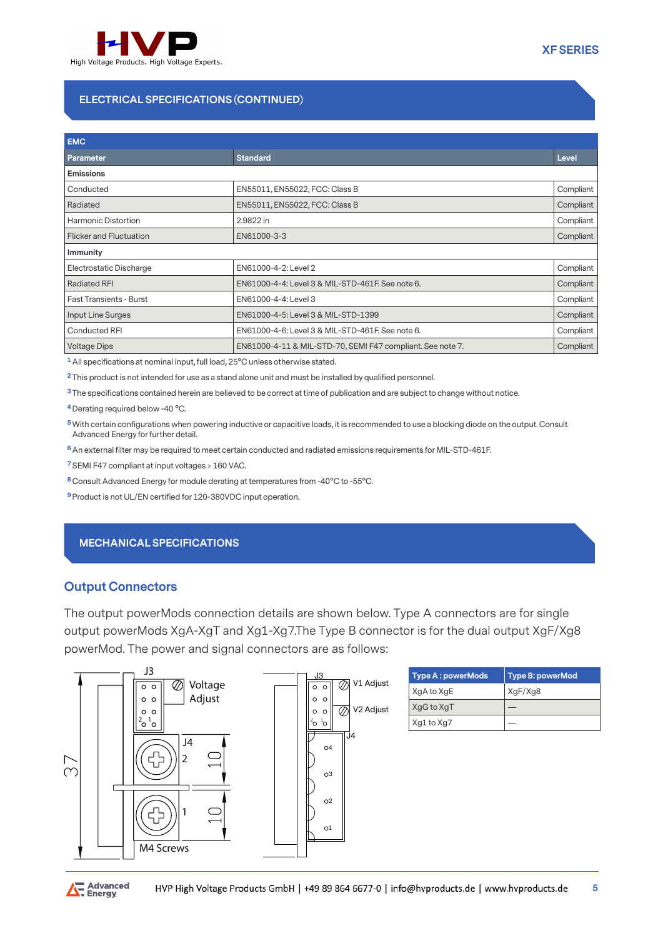

## **ELECTRICAL SPECIFICATIONS (CONTINUED)**

| <b>EMC</b>                     |                                                            |           |
|--------------------------------|------------------------------------------------------------|-----------|
| Parameter                      | <b>Standard</b>                                            | Level     |
| <b>Emissions</b>               |                                                            |           |
| Conducted                      | EN55011, EN55022, FCC: Class B                             | Compliant |
| Radiated                       | EN55011, EN55022, FCC: Class B                             | Compliant |
| <b>Harmonic Distortion</b>     | 2.9822 in                                                  | Compliant |
| Flicker and Fluctuation        | EN61000-3-3                                                | Compliant |
| <b>Immunity</b>                |                                                            |           |
| Electrostatic Discharge        | EN61000-4-2: Level 2                                       | Compliant |
| <b>Radiated RFI</b>            | EN61000-4-4: Level 3 & MIL-STD-461F. See note 6.           | Compliant |
| <b>Fast Transients - Burst</b> | EN61000-4-4: Level 3                                       | Compliant |
| Input Line Surges              | EN61000-4-5: Level 3 & MIL-STD-1399                        | Compliant |
| <b>Conducted RFI</b>           | EN61000-4-6: Level 3 & MIL-STD-461F. See note 6.           | Compliant |
| <b>Voltage Dips</b>            | EN61000-4-11 & MIL-STD-70, SEMI F47 compliant. See note 7. | Compliant |

**1** All specifications at nominal input, full load, 25°C unless otherwise stated.

**2** This product is not intended for use as a stand alone unit and must be installed by qualified personnel.

**3** The specifications contained herein are believed to be correct at time of publication and are subject to change without notice.

**4** Derating required below -40 °C.

**5** With certain configurations when powering inductive or capacitive loads, it is recommended to use a blocking diode on the output. Consult Advanced Energy for further detail.

**6** An external filter may be required to meet certain conducted and radiated emissions requirements for MIL-STD-461F.

**7** SEMI F47 compliant at input voltages > 160 VAC.

**8** Consult Advanced Energy for module derating at temperatures from -40°C to -55°C.

**9** Product is not UL/EN certified for 120-380VDC input operation.

#### **MECHANICAL SPECIFICATIONS**

#### **Output Connectors**

The output powerMods connection details are shown below. Type A connectors are for single output powerMods XgA-XgT and Xg1-Xg7.The Type B connector is for the dual output XgF/Xg8 powerMod. The power and signal connectors are as follows:



| <b>Type A: powerMods</b> | Type B: powerMod |
|--------------------------|------------------|
| XgA to XgE               | XqF/Xq8          |
| XgG to XgT               |                  |
| Xg1 to Xg7               |                  |

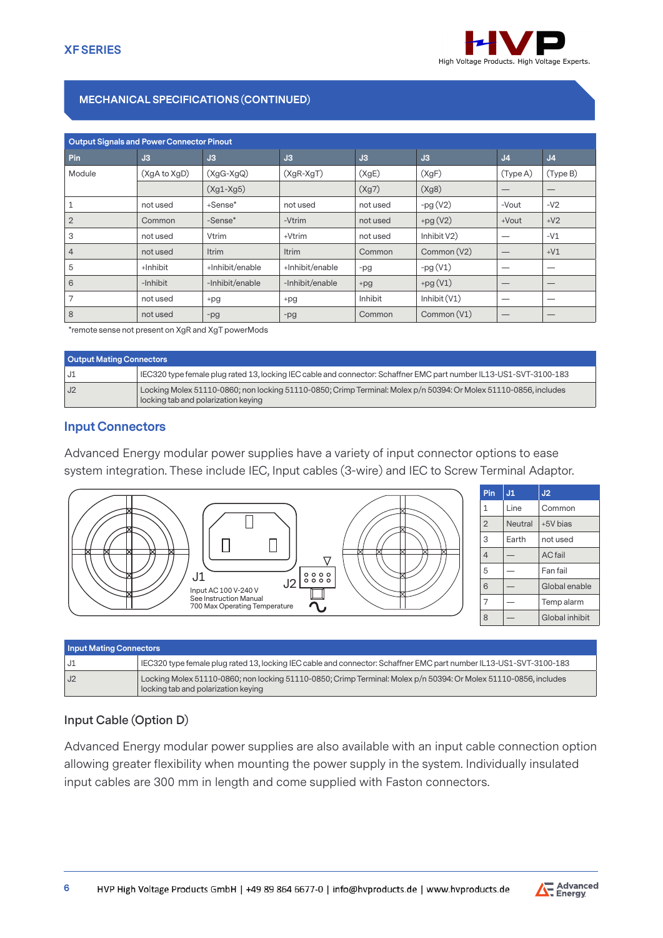

## **MECHANICAL SPECIFICATIONS (CONTINUED)**

| <b>Output Signals and Power Connector Pinout</b> |              |                 |                 |          |                |                |                                 |
|--------------------------------------------------|--------------|-----------------|-----------------|----------|----------------|----------------|---------------------------------|
|                                                  |              |                 |                 |          |                |                |                                 |
| Pin                                              | J3           | J3              | J3              | J3       | J3             | J <sub>4</sub> | J <sub>4</sub>                  |
| Module                                           | (XgA to XgD) | $(XgG-XgQ)$     | $(XgR-XgT)$     | (XgE)    | (XgF)          | (Type A)       | (Type B)                        |
|                                                  |              | $(Xg1-Xg5)$     |                 | (Xg7)    | (Xg8)          | –              |                                 |
|                                                  | not used     | +Sense*         | not used        | not used | $-pg(V2)$      | -Vout          | $-V2$                           |
| $\overline{2}$                                   | Common       | -Sense*         | -Vtrim          | not used | $+pg(V2)$      | $+$ Vout       | $+V2$                           |
| 3                                                | not used     | Vtrim           | +Vtrim          | not used | Inhibit V2)    |                | $-V1$                           |
| $\overline{4}$                                   | not used     | Itrim           | Itrim           | Common   | Common (V2)    | —              | $+V1$                           |
| 5                                                | +Inhibit     | +Inhibit/enable | +Inhibit/enable | -pg      | $-pg(V1)$      | –              |                                 |
| 6                                                | -Inhibit     | -Inhibit/enable | -Inhibit/enable | $+pg$    | $+pg(V1)$      |                | $\hspace{0.1mm}-\hspace{0.1mm}$ |
| 7                                                | not used     | +pg             | +pg             | Inhibit  | Inhibit $(V1)$ | –              |                                 |
| 8                                                | not used     | -pg             | $-pg$           | Common   | Common (V1)    |                |                                 |

\*remote sense not present on XgR and XgT powerMods

| <b>Output Mating Connectors</b> |                                                                                                                                                         |
|---------------------------------|---------------------------------------------------------------------------------------------------------------------------------------------------------|
| J1                              | IEC320 type female plug rated 13, locking IEC cable and connector: Schaffner EMC part number IL13-US1-SVT-3100-183                                      |
| J2                              | Locking Molex 51110-0860; non locking 51110-0850; Crimp Terminal: Molex p/n 50394: Or Molex 51110-0856, includes<br>locking tab and polarization keying |

### **Input Connectors**

Advanced Energy modular power supplies have a variety of input connector options to ease system integration. These include IEC, Input cables (3-wire) and IEC to Screw Terminal Adaptor.



| Pin            | J1      | J2             |
|----------------|---------|----------------|
| 1              | Line    | Common         |
| $\overline{2}$ | Neutral | +5V bias       |
| 3              | Earth   | not used       |
| $\overline{4}$ |         | <b>AC</b> fail |
| 5              |         | Fan fail       |
| 6              |         | Global enable  |
| 7              |         | Temp alarm     |
| 8              |         | Global inhibit |

| <b>Input Mating Connectors</b> |                                                                                                                                                         |  |  |  |
|--------------------------------|---------------------------------------------------------------------------------------------------------------------------------------------------------|--|--|--|
| JI                             | IEC320 type female plug rated 13, locking IEC cable and connector: Schaffner EMC part number IL13-US1-SVT-3100-183                                      |  |  |  |
| J <sub>2</sub>                 | Locking Molex 51110-0860; non locking 51110-0850; Crimp Terminal: Molex p/n 50394: Or Molex 51110-0856, includes<br>locking tab and polarization keying |  |  |  |

### **Input Cable (Option D)**

Advanced Energy modular power supplies are also available with an input cable connection option allowing greater flexibility when mounting the power supply in the system. Individually insulated input cables are 300 mm in length and come supplied with Faston connectors.